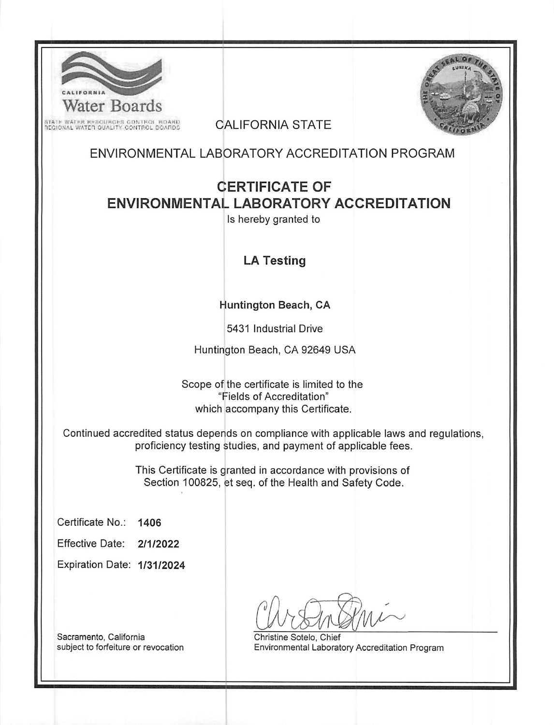| Water Boards<br>STATE WATER RESOURCES CONTROL ROARD.<br>REGIONAL WATER QUALITY CONTROL DOARDS                                                           | <b>CALIFORNIA STATE</b>                                                                                                |  |  |  |  |
|---------------------------------------------------------------------------------------------------------------------------------------------------------|------------------------------------------------------------------------------------------------------------------------|--|--|--|--|
| ENVIRONMENTAL LABORATORY ACCREDITATION PROGRAM                                                                                                          |                                                                                                                        |  |  |  |  |
| <b>ENVIRONMENTAL LABORATORY ACCREDITATION</b>                                                                                                           | <b>CERTIFICATE OF</b><br>Is hereby granted to                                                                          |  |  |  |  |
|                                                                                                                                                         | <b>LA Testing</b>                                                                                                      |  |  |  |  |
|                                                                                                                                                         | Huntington Beach, CA                                                                                                   |  |  |  |  |
|                                                                                                                                                         | 5431 Industrial Drive                                                                                                  |  |  |  |  |
|                                                                                                                                                         | Huntington Beach, CA 92649 USA                                                                                         |  |  |  |  |
|                                                                                                                                                         | Scope of the certificate is limited to the<br>"Fields of Accreditation"<br>which accompany this Certificate.           |  |  |  |  |
| Continued accredited status depends on compliance with applicable laws and regulations,<br>proficiency testing studies, and payment of applicable fees. |                                                                                                                        |  |  |  |  |
|                                                                                                                                                         | This Certificate is granted in accordance with provisions of<br>Section 100825, et seq. of the Health and Safety Code. |  |  |  |  |
| Certificate No.:<br>1406                                                                                                                                |                                                                                                                        |  |  |  |  |
| <b>Effective Date:</b><br>2/1/2022                                                                                                                      |                                                                                                                        |  |  |  |  |
| Expiration Date: 1/31/2024                                                                                                                              |                                                                                                                        |  |  |  |  |
| Sacramento, California<br>subject to forfeiture or revocation                                                                                           | Christine Sotelo, Chief<br>Environmental Laboratory Accreditation Program                                              |  |  |  |  |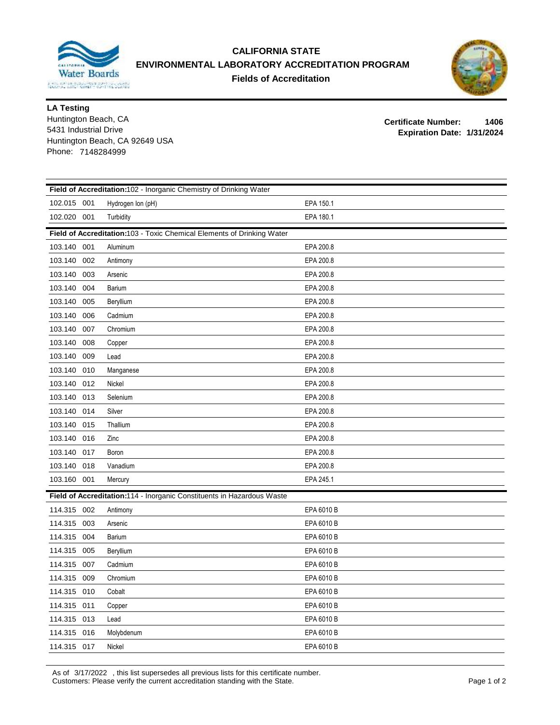

## **CALIFORNIA STATE ENVIRONMENTAL LABORATORY ACCREDITATION PROGRAM Fields of Accreditation**



**LA Testing**

Huntington Beach, CA Huntington Beach, CA 92649 USA Phone: 7148284999 **Expiration Date: 1/31/2024** 5431 Industrial Drive

**Certificate Number: 1406**

| Field of Accreditation:102 - Inorganic Chemistry of Drinking Water     |                                                                        |            |  |  |  |  |  |
|------------------------------------------------------------------------|------------------------------------------------------------------------|------------|--|--|--|--|--|
| 102.015 001                                                            | Hydrogen Ion (pH)                                                      | EPA 150.1  |  |  |  |  |  |
| 102.020 001                                                            | Turbidity                                                              | EPA 180.1  |  |  |  |  |  |
|                                                                        | Field of Accreditation:103 - Toxic Chemical Elements of Drinking Water |            |  |  |  |  |  |
| 103.140 001                                                            | Aluminum                                                               | EPA 200.8  |  |  |  |  |  |
| 103.140<br>002                                                         | Antimony                                                               | EPA 200.8  |  |  |  |  |  |
| 103.140<br>003                                                         | Arsenic                                                                | EPA 200.8  |  |  |  |  |  |
| 004<br>103.140                                                         | Barium                                                                 | EPA 200.8  |  |  |  |  |  |
| 103.140<br>005                                                         | Beryllium                                                              | EPA 200.8  |  |  |  |  |  |
| 103.140<br>006                                                         | Cadmium                                                                | EPA 200.8  |  |  |  |  |  |
| 103.140<br>007                                                         | Chromium                                                               | EPA 200.8  |  |  |  |  |  |
| 103.140<br>008                                                         | Copper                                                                 | EPA 200.8  |  |  |  |  |  |
| 103.140<br>009                                                         | Lead                                                                   | EPA 200.8  |  |  |  |  |  |
| 103.140<br>010                                                         | Manganese                                                              | EPA 200.8  |  |  |  |  |  |
| 103.140 012                                                            | Nickel                                                                 | EPA 200.8  |  |  |  |  |  |
| 103.140 013                                                            | Selenium                                                               | EPA 200.8  |  |  |  |  |  |
| 103.140<br>014                                                         | Silver                                                                 | EPA 200.8  |  |  |  |  |  |
| 103.140<br>015                                                         | Thallium                                                               | EPA 200.8  |  |  |  |  |  |
| 103.140<br>016                                                         | Zinc                                                                   | EPA 200.8  |  |  |  |  |  |
| 103.140<br>017                                                         | Boron                                                                  | EPA 200.8  |  |  |  |  |  |
| 103.140 018                                                            | Vanadium                                                               | EPA 200.8  |  |  |  |  |  |
| 103.160 001                                                            | Mercury                                                                | EPA 245.1  |  |  |  |  |  |
| Field of Accreditation:114 - Inorganic Constituents in Hazardous Waste |                                                                        |            |  |  |  |  |  |
| 114.315 002                                                            | Antimony                                                               | EPA 6010 B |  |  |  |  |  |
| 114.315 003                                                            | Arsenic                                                                | EPA 6010 B |  |  |  |  |  |
| 114.315<br>004                                                         | Barium                                                                 | EPA 6010 B |  |  |  |  |  |
| 114.315<br>005                                                         | Beryllium                                                              | EPA 6010 B |  |  |  |  |  |
| 114.315<br>007                                                         | Cadmium                                                                | EPA 6010 B |  |  |  |  |  |
| 114.315<br>009                                                         | Chromium                                                               | EPA 6010 B |  |  |  |  |  |
| 114.315 010                                                            | Cobalt                                                                 | EPA 6010 B |  |  |  |  |  |
| 114.315 011                                                            | Copper                                                                 | EPA 6010 B |  |  |  |  |  |
| 114.315 013                                                            | Lead                                                                   | EPA 6010 B |  |  |  |  |  |
| 114.315<br>016                                                         | Molybdenum                                                             | EPA 6010 B |  |  |  |  |  |
| 114.315 017                                                            | Nickel                                                                 | EPA 6010 B |  |  |  |  |  |

As of 3/17/2022 , this list supersedes all previous lists for this certificate number. Customers: Please verify the current accreditation standing with the State. Page 1 of 2